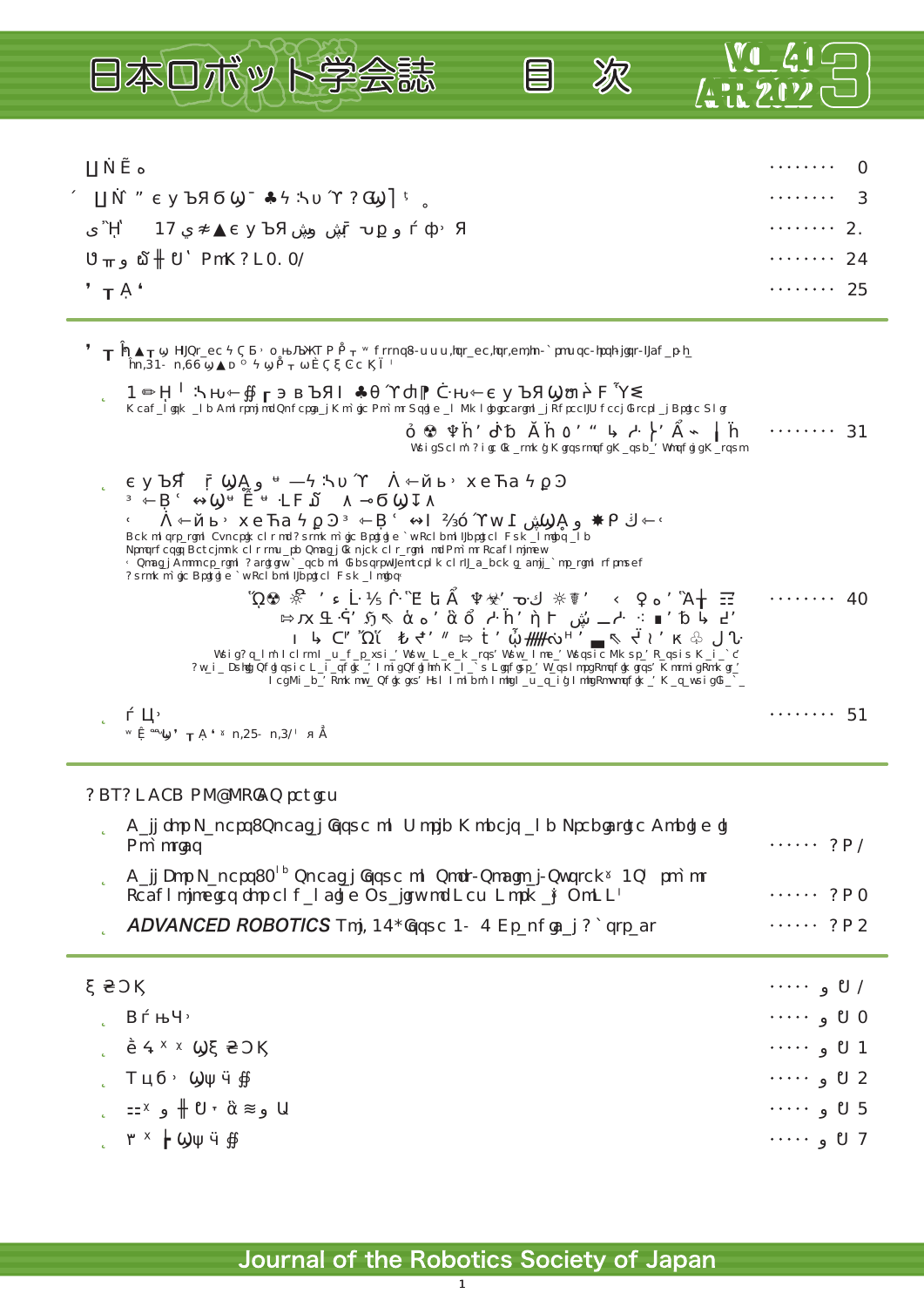

## ADVANCED ROBOTICS review

| Call for Papers: Special Issue on World Models and Predictive Coding in<br>Robotics                                                     | $\cdots$ AR1 |
|-----------------------------------------------------------------------------------------------------------------------------------------|--------------|
| Call For Papers: 2 <sup>nd</sup> Special Issue on Soft/Socioal/System 3S robot<br>Technologies for enhancing Quality of New Normal QoNN | $\cdots$ AR2 |
| <b>ADVANCED ROBOTICS</b> Vol. 36, Issue 3 6 Graphical Abstract                                                                          | $\cdots$ AR4 |
|                                                                                                                                         |              |

| $\cdots$ 1 |  |
|------------|--|
| $\cdots$ 2 |  |
| $\cdots$ 3 |  |
| $\cdots$ 4 |  |
| $\cdots$ 7 |  |
| $\cdots$ 9 |  |

1